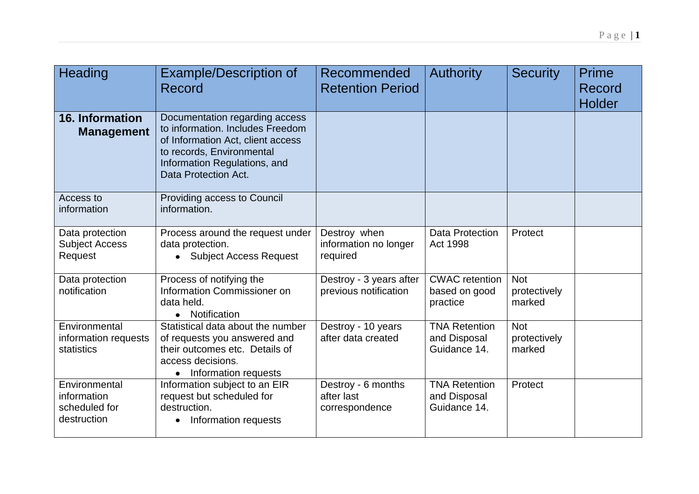| Heading                                                      | <b>Example/Description of</b><br>Record                                                                                                                                                      | Recommended<br><b>Retention Period</b>             | <b>Authority</b>                                     | <b>Security</b>                      | <b>Prime</b><br>Record<br><b>Holder</b> |
|--------------------------------------------------------------|----------------------------------------------------------------------------------------------------------------------------------------------------------------------------------------------|----------------------------------------------------|------------------------------------------------------|--------------------------------------|-----------------------------------------|
| 16. Information<br><b>Management</b>                         | Documentation regarding access<br>to information. Includes Freedom<br>of Information Act, client access<br>to records, Environmental<br>Information Regulations, and<br>Data Protection Act. |                                                    |                                                      |                                      |                                         |
| Access to<br>information                                     | Providing access to Council<br>information.                                                                                                                                                  |                                                    |                                                      |                                      |                                         |
| Data protection<br><b>Subject Access</b><br>Request          | Process around the request under<br>data protection.<br><b>Subject Access Request</b>                                                                                                        | Destroy when<br>information no longer<br>required  | Data Protection<br>Act 1998                          | Protect                              |                                         |
| Data protection<br>notification                              | Process of notifying the<br>Information Commissioner on<br>data held.<br>Notification<br>$\bullet$                                                                                           | Destroy - 3 years after<br>previous notification   | <b>CWAC</b> retention<br>based on good<br>practice   | <b>Not</b><br>protectively<br>marked |                                         |
| Environmental<br>information requests<br>statistics          | Statistical data about the number<br>of requests you answered and<br>their outcomes etc. Details of<br>access decisions.<br>Information requests                                             | Destroy - 10 years<br>after data created           | <b>TNA Retention</b><br>and Disposal<br>Guidance 14. | <b>Not</b><br>protectively<br>marked |                                         |
| Environmental<br>information<br>scheduled for<br>destruction | Information subject to an EIR<br>request but scheduled for<br>destruction.<br>Information requests                                                                                           | Destroy - 6 months<br>after last<br>correspondence | <b>TNA Retention</b><br>and Disposal<br>Guidance 14. | Protect                              |                                         |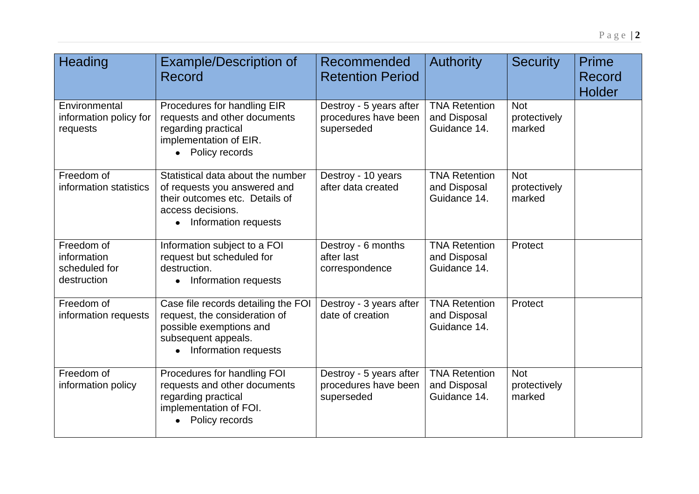| Heading                                                   | <b>Example/Description of</b><br><b>Record</b>                                                                                                                | Recommended<br><b>Retention Period</b>                        | <b>Authority</b>                                     | <b>Security</b>                      | <b>Prime</b><br>Record<br>Holder |
|-----------------------------------------------------------|---------------------------------------------------------------------------------------------------------------------------------------------------------------|---------------------------------------------------------------|------------------------------------------------------|--------------------------------------|----------------------------------|
| Environmental<br>information policy for<br>requests       | Procedures for handling EIR<br>requests and other documents<br>regarding practical<br>implementation of EIR.<br>• Policy records                              | Destroy - 5 years after<br>procedures have been<br>superseded | <b>TNA Retention</b><br>and Disposal<br>Guidance 14. | <b>Not</b><br>protectively<br>marked |                                  |
| Freedom of<br>information statistics                      | Statistical data about the number<br>of requests you answered and<br>their outcomes etc. Details of<br>access decisions.<br>Information requests<br>$\bullet$ | Destroy - 10 years<br>after data created                      | <b>TNA Retention</b><br>and Disposal<br>Guidance 14. | <b>Not</b><br>protectively<br>marked |                                  |
| Freedom of<br>information<br>scheduled for<br>destruction | Information subject to a FOI<br>request but scheduled for<br>destruction.<br>Information requests<br>$\bullet$                                                | Destroy - 6 months<br>after last<br>correspondence            | <b>TNA Retention</b><br>and Disposal<br>Guidance 14. | Protect                              |                                  |
| Freedom of<br>information requests                        | Case file records detailing the FOI<br>request, the consideration of<br>possible exemptions and<br>subsequent appeals.<br>Information requests                | Destroy - 3 years after<br>date of creation                   | <b>TNA Retention</b><br>and Disposal<br>Guidance 14. | Protect                              |                                  |
| Freedom of<br>information policy                          | Procedures for handling FOI<br>requests and other documents<br>regarding practical<br>implementation of FOI.<br>Policy records                                | Destroy - 5 years after<br>procedures have been<br>superseded | <b>TNA Retention</b><br>and Disposal<br>Guidance 14. | <b>Not</b><br>protectively<br>marked |                                  |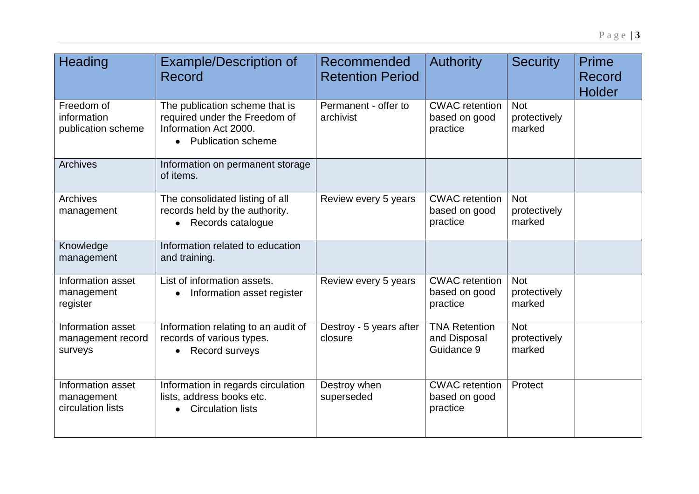| Heading                                              | <b>Example/Description of</b><br>Record                                                                          | Recommended<br><b>Retention Period</b> | <b>Authority</b>                                   | <b>Security</b>                      | Prime<br>Record<br><b>Holder</b> |
|------------------------------------------------------|------------------------------------------------------------------------------------------------------------------|----------------------------------------|----------------------------------------------------|--------------------------------------|----------------------------------|
| Freedom of<br>information<br>publication scheme      | The publication scheme that is<br>required under the Freedom of<br>Information Act 2000.<br>• Publication scheme | Permanent - offer to<br>archivist      | <b>CWAC</b> retention<br>based on good<br>practice | <b>Not</b><br>protectively<br>marked |                                  |
| <b>Archives</b>                                      | Information on permanent storage<br>of items.                                                                    |                                        |                                                    |                                      |                                  |
| <b>Archives</b><br>management                        | The consolidated listing of all<br>records held by the authority.<br>• Records catalogue                         | Review every 5 years                   | <b>CWAC</b> retention<br>based on good<br>practice | <b>Not</b><br>protectively<br>marked |                                  |
| Knowledge<br>management                              | Information related to education<br>and training.                                                                |                                        |                                                    |                                      |                                  |
| Information asset<br>management<br>register          | List of information assets.<br>Information asset register                                                        | Review every 5 years                   | <b>CWAC</b> retention<br>based on good<br>practice | <b>Not</b><br>protectively<br>marked |                                  |
| Information asset<br>management record<br>surveys    | Information relating to an audit of<br>records of various types.<br>Record surveys                               | Destroy - 5 years after<br>closure     | <b>TNA Retention</b><br>and Disposal<br>Guidance 9 | <b>Not</b><br>protectively<br>marked |                                  |
| Information asset<br>management<br>circulation lists | Information in regards circulation<br>lists, address books etc.<br><b>Circulation lists</b>                      | Destroy when<br>superseded             | <b>CWAC</b> retention<br>based on good<br>practice | Protect                              |                                  |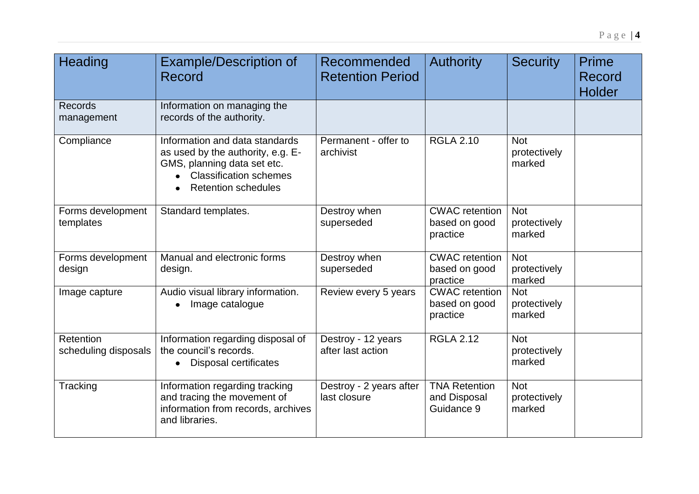| Heading                           | <b>Example/Description of</b><br>Record                                                                                                                           | Recommended<br><b>Retention Period</b>  | <b>Authority</b>                                   | <b>Security</b>                      | <b>Prime</b><br>Record<br>Holder |
|-----------------------------------|-------------------------------------------------------------------------------------------------------------------------------------------------------------------|-----------------------------------------|----------------------------------------------------|--------------------------------------|----------------------------------|
| <b>Records</b><br>management      | Information on managing the<br>records of the authority.                                                                                                          |                                         |                                                    |                                      |                                  |
| Compliance                        | Information and data standards<br>as used by the authority, e.g. E-<br>GMS, planning data set etc.<br><b>Classification schemes</b><br><b>Retention schedules</b> | Permanent - offer to<br>archivist       | <b>RGLA 2.10</b>                                   | <b>Not</b><br>protectively<br>marked |                                  |
| Forms development<br>templates    | Standard templates.                                                                                                                                               | Destroy when<br>superseded              | <b>CWAC</b> retention<br>based on good<br>practice | <b>Not</b><br>protectively<br>marked |                                  |
| Forms development<br>design       | Manual and electronic forms<br>design.                                                                                                                            | Destroy when<br>superseded              | <b>CWAC</b> retention<br>based on good<br>practice | <b>Not</b><br>protectively<br>marked |                                  |
| Image capture                     | Audio visual library information.<br>Image catalogue                                                                                                              | Review every 5 years                    | <b>CWAC</b> retention<br>based on good<br>practice | <b>Not</b><br>protectively<br>marked |                                  |
| Retention<br>scheduling disposals | Information regarding disposal of<br>the council's records.<br>Disposal certificates<br>$\bullet$                                                                 | Destroy - 12 years<br>after last action | <b>RGLA 2.12</b>                                   | <b>Not</b><br>protectively<br>marked |                                  |
| Tracking                          | Information regarding tracking<br>and tracing the movement of<br>information from records, archives<br>and libraries.                                             | Destroy - 2 years after<br>last closure | <b>TNA Retention</b><br>and Disposal<br>Guidance 9 | <b>Not</b><br>protectively<br>marked |                                  |